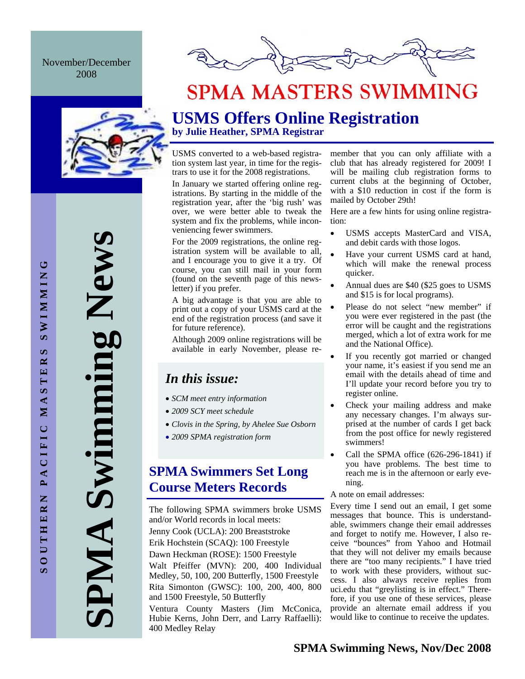November/December 2008



# **SPMA MASTERS SWIMMING**

**SPMA Swimming News**  Swimming New PMA

## **USMS Offers Online Registration by Julie Heather, SPMA Registrar**

USMS converted to a web-based registration system last year, in time for the registrars to use it for the 2008 registrations.

In January we started offering online registrations. By starting in the middle of the registration year, after the 'big rush' was over, we were better able to tweak the system and fix the problems, while inconveniencing fewer swimmers.

For the 2009 registrations, the online registration system will be available to all, and I encourage you to give it a try. Of course, you can still mail in your form (found on the seventh page of this newsletter) if you prefer.

A big advantage is that you are able to print out a copy of your USMS card at the end of the registration process (and save it for future reference).

Although 2009 online registrations will be available in early November, please re-

# *In this issue:*

- *SCM meet entry information*
- *2009 SCY meet schedule*
- *Clovis in the Spring, by Ahelee Sue Osborn*
- *2009 SPMA registration form*

## **SPMA Swimmers Set Long Course Meters Records**

The following SPMA swimmers broke USMS and/or World records in local meets: Jenny Cook (UCLA): 200 Breaststroke Erik Hochstein (SCAQ): 100 Freestyle Dawn Heckman (ROSE): 1500 Freestyle Walt Pfeiffer (MVN): 200, 400 Individual Medley, 50, 100, 200 Butterfly, 1500 Freestyle Rita Simonton (GWSC): 100, 200, 400, 800 and 1500 Freestyle, 50 Butterfly Ventura County Masters (Jim McConica, Hubie Kerns, John Derr, and Larry Raffaelli):

400 Medley Relay

member that you can only affiliate with a club that has already registered for 2009! I will be mailing club registration forms to current clubs at the beginning of October, with a \$10 reduction in cost if the form is mailed by October 29th!

Here are a few hints for using online registration:

- USMS accepts MasterCard and VISA, and debit cards with those logos.
- Have your current USMS card at hand, which will make the renewal process quicker.
- Annual dues are \$40 (\$25 goes to USMS and \$15 is for local programs).
- Please do not select "new member" if you were ever registered in the past (the error will be caught and the registrations merged, which a lot of extra work for me and the National Office).
- If you recently got married or changed your name, it's easiest if you send me an email with the details ahead of time and I'll update your record before you try to register online.
- Check your mailing address and make any necessary changes. I'm always surprised at the number of cards I get back from the post office for newly registered swimmers!
- Call the SPMA office  $(626-296-1841)$  if you have problems. The best time to reach me is in the afternoon or early evening.
- A note on email addresses:

Every time I send out an email, I get some messages that bounce. This is understandable, swimmers change their email addresses and forget to notify me. However, I also receive "bounces" from Yahoo and Hotmail that they will not deliver my emails because there are "too many recipients." I have tried to work with these providers, without success. I also always receive replies from uci.edu that "greylisting is in effect." Therefore, if you use one of these services, please provide an alternate email address if you would like to continue to receive the updates.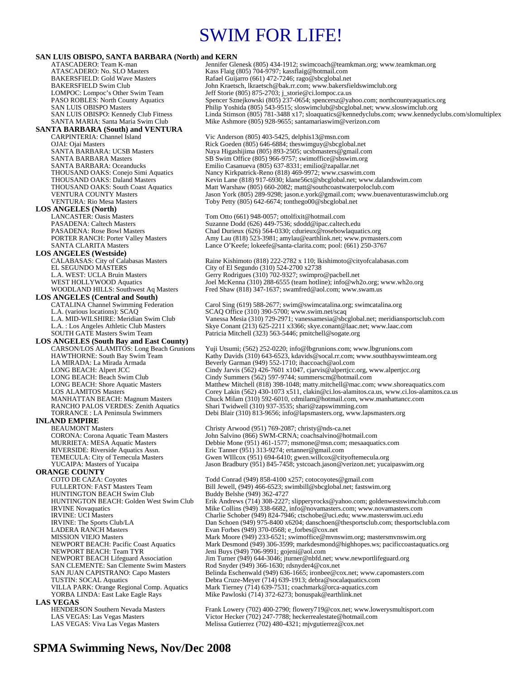# SWIM FOR LIFE!

**SAN LUIS OBISPO, SANTA BARBARA (North) and KERN** Jennifer Glenesk (805) 434-1912; swimcoach@teamkman.org; www.teamkman.org ATASCADERO: No. SLO Masters Kass Flaig (805) 704-9797; kassflaig @hotmail.com<br>BAKERSFIELD: Gold Wave Masters Rafael Guijarro (661) 472-7246; rago@sbcglobal.ne BAKERSFIELD: Gold Wave Masters Rafael Guijarro (661) 472-7246; rago@sbcglobal.net<br>BAKERSFIELD Swim Club John Kraetsch, lkraetsch@bak.rr.com; www.bakersfi BAKERSFIELD Swim Club John Kraetsch, lkraetsch@bak.rr.com; www.bakersfieldswimclub.org<br>
LOMPOC: Lompoc's Other Swim Team Jeff Storie (805) 875-2703; j\_storie@ci.lompoc.ca.us LOMPOC: Lompoc's Other Swim Team Jeff Storie (805) 875-2703; j\_storie@ci.lompoc.ca.us PASO ROBLES: North County Aquatics Spencer Sznejkowski (805) 237-0654; spencersz@yahoo.com; northcountyaquatics.org SAN LUIS OBISPO Masters Philip Yoshida (805) 543-9515; sloswimclub@sbcglobal.net; www.sloswimclub.org SAN LUIS OBISPO: Kennedy Club Fitness Linda Stimson (805) 781-3488 x17; sloaquatics@kennedyclubs.com; www.kennedyclubs.com/slomultiplex<br>SANTA MARIA: Santa Maria Swim Club Mike Ashmore (805) 928-9655; santamariaswim@verizon Mike Ashmore (805) 928-9655; santamariaswim@verizon.com **SANTA BARBARA (South) and VENTURA**  Vic Anderson (805) 403-5425, delphis13@msn.com OJAI: Ojai Masters **Rick Goeden (805) 646-6884; theswimguy@sbcglobal.net**<br>
SANTA BARBARA: UCSB Masters **Rick Coeden (805) 893-2505; ucsbmasters@gmail.co** SANTA BARBARA: UCSB Masters Naya Higashijima (805) 893-2505; ucsbmasters @gmail.com<br>SANTA BARBARA Masters SB Swim Office (805) 966-9757; swimoffice@sbswim.org SANTA BARBARA Masters SB Swim Office (805) 966-9757; swimoffice@sbswim.org<br>SANTA BARBARA: Oceanducks Emilio Casanueva (805) 637-8331; emilio@zapallar.net SANTA BARBARA: Oceanducks Emilio Casanueva (805) 637-8331; emilio@zapallar.net Nancy Kirkpatrick-Reno (818) 469-9972; www.csaswim.com THOUSAND OAKS: Daland Masters Kevin Lane (818) 917-6930; klane56ct@sbcglobal.net; www.dalandswim.com<br>THOUSAND OAKS: South Coast Aquatics Matt Warshaw (805) 660-2082; matt@southcoastwaterpoloclub.com THOUSAND OAKS: South Coast Aquatics Matt Warshaw (805) 660-2082; matt@southcoastwaterpoloclub.com<br>VENTURA COUNTY Masters Jason York (805) 289-9298; jason.e.york@gmail.com; www.buenave VENTURA COUNTY Masters Jason York (805) 289-9298; jason.e.york@gmail.com; www.buenaventuraswimclub.org<br>VENTURA: Rio Mesa Masters Toby Petty (805) 642-6674; tonthego00@sbcglobal.net Toby Petty  $(805)$  642-6674; tonthego $00@$ sbcglobal.net **LOS ANGELES (North)**  LANCASTER: Oasis Masters Tom Otto (661) 948-0057; ottolfixit@hotmail.com<br>PASADENA: Caltech Masters Suzanne Dodd (626) 449-7536; sdodd@ipac.caltecl PASADENA: Caltech Masters Suzanne Dodd (626) 449-7536; sdodd@ipac.caltech.edu<br>PASADENA: Rose Bowl Masters Chad Durieux (626) 564-0330; cdurieux @rosebowlaquat PASADENA: Rose Bowl Masters Chad Durieux (626) 564-0330; cdurieux @rosebowlaquatics.org<br>PORTER RANCH: Porter Valley Masters Amy Lau (818) 523-3981; amylau@earthlink.net; www.pymaste PORTER RANCH: Porter Valley Masters Amy Lau (818) 523-3981; amylau@earthlink.net; www.pvmasters.com<br>SANTA CLARITA Masters Lance O'Keefe; lokeefe@santa-clarita.com; pool: (661) 250-3767 Lance O'Keefe; lokeefe@santa-clarita.com; pool: (661) 250-3767 **LOS ANGELES (Westside)** CALABASAS: City of Calabasas Masters Raine Kishimoto (818) 222-2782 x 110; lkishimoto@cityofcalabasas.com<br>EL SEGUNDO MASTERS City of El Segundo (310) 524-2700 x2738 EL SEGUNDO MÁSTERS<br>
L.A. WEST: UCLA Bruin Masters

City of El Segundo (310) 702-9327; swimproximately

Corry Rodrigues (310) 702-9327; swimproximately L.A. WEST: UCLA Bruin Masters Gerry Rodrigues (310) 702-9327; swimpro@pacbell.net<br>
WEST HOLLYWOOD Aquatics Joel McKenna (310) 288-6555 (team hotline); info@wh. WEST HOLLYWOOD Aquatics Joel McKenna (310) 288-6555 (team hotline); info@wh2o.org; www.wh2o.org<br>WOODLAND HILLS: Southwest Aq Masters Fred Shaw (818) 347-1637; swamfred@aol.com; www.swam.us Fred Shaw (818) 347-1637; swamfred@aol.com; www.swam.us **LOS ANGELES (Central and South)**  CATALINA Channel Swimming Federation Carol Sing (619) 588-2677; swim@swimcatalina.org; swimcatalina.org<br>L.A. (various locations): SCAQ<br>CAQ Office (310) 390-5700; www.swim.net/scaq L.A. (various locations): SCAQ<br>
L.A. MID-WILSHIRE: Meridian Swim Club Vanessa Mesia (310) 729-2971; vanessamesia@sbc L.A. MID-WILSHIRE: Meridian Swim Club Vanessa Mesia (310) 729-2971; vanessamesia@sbcglobal.net; meridiansportsclub.com<br>L.A. : Los Angeles Athletic Club Masters Skye Conant (213) 625-2211 x3366; skye.conant@laac.net; www.la L.A. : Los Angeles Athletic Club Masters Skye Conant (213) 625-2211 x 3366; skye conant@laac.net; www.laac.com<br>SOUTH GATE Masters Swim Team Patricia Mitchell (323) 563-5446; pmitchell@sogate.org Patricia Mitchell (323) 563-5446; pmitchell@sogate.org **LOS ANGELES (South Bay and East County)**  CARSON/LOS ALAMITOS: Long Beach Grunions Yuji Utsumi; (562) 252-0220; info@lbgrunions.com; www.lbgrunions.com HAWTHORNE: South Bay Swim Team Kathy Davids (310) 643-6523, kdavids@socal.rr.com; www.southbayswimteam.org<br>LA MIRADA: La Mirada Armada Beverly Garman (949) 552-1710; inaccoach@aol.com LA MIRADA: La Mirada Armada Beverly Garman (949) 552-1710; ihaccoach@aol.com LONG BEACH: Alpert JCC<br>
LONG BEACH: Beach Swim Club<br>
Cindy Summers (562) 597-9744; summerscm@hotmail.com LONG BEACH: Beach Swim Club Cindy Summers (562) 597-9744; summerscm@hotmail.com<br>CONG BEACH: Shore Aquatic Masters Matthew Mitchell (818) 398-1048; matty.mitchell@mac.com LONG BEACH: Shore Aquatic Masters Matthew Mitchell (818) 398-1048; matty.mitchell@mac.com; www.shoreaquatics.com<br>LOS ALAMITOS Masters Corey Lakin (562) 430-1073 x511, clakin@ci.los-alamitos.ca.us, www.ci.los-alamitos.c LOS ALAMITOS Masters Corey Lakin (562) 430-1073 x511, clakin @ci.los-alamitos.ca.us, www.ci.los-alamitos.ca.us<br>
MANHATTAN BEACH: Magnum Masters Chuck Milam (310) 592-6010, cdmilam @hotmail.com, www.manhattancc.com<br>
RANCHO Chuck Milam (310) 592-6010, cdmilam@hotmail.com, www.manhattancc.com RANCHO PALOS VERDES: Zenith Aquatics Shari Twidwell (310) 937-3535; shari@zapswimming.com<br>TORRANCE : LA Peninsula Swimmers Debi Blair (310) 813-9656; info@lapsmasters.org, www.la Debi Blair (310) 813-9656; info@lapsmasters.org, www.lapsmasters.org **INLAND EMPIRE**  BEAUMONT Masters Christy Arwood (951) 769-2087; christy @nds-ca.net<br>CORONA: Corona Aquatic Team Masters John Salvino (866) SWM-CRNA; coachsalvino@hot CORONA: Corona Aquatic Team Masters John Salvino (866) SWM-CRNA; coachsalvino@hotmail.com MURRIETA: MESA Aquatic Masters Debbie Mone (951) 461-1577; msmone@msn.com; mesaaquatics.com<br>RIVERSIDE: Riverside Aquatics Assn. Eric Tanner (951) 313-9274; ertanner@gmail.com RIVERSIDE: Riverside Aquatics Assn. Eric Tanner (951) 313-9274; ertanner@gmail.com<br>TEMECULA: City of Temecula Masters Gwen WIllcox (951) 694-6410; gwen.willcox @cit TEMECULA: City of Temecula Masters Gwen WIllcox (951) 694-6410; gwen.willcox @cityoftemecula.org<br>YUCAIPA: Masters of Yucaipa Jason Bradbury (951) 845-7458; ystcoach.jason @verizon.net; yuca Jason Bradbury (951) 845-7458; ystcoach.jason@verizon.net; yucaipaswim.org **ORANGE COUNTY**<br>COTO DE CAZA: Coyotes COTO DE CAZA: Coyotes Team Todd Conrad (949) 858-4100 x257; cotocoyotes@gmail.com<br>FULLERTON: FAST Masters Team Bill Jewell, (949) 466-6523; swimbill@sbcglobal.net; fastswi Bill Jewell, (949) 466-6523; swimbill@sbcglobal.net; fastswim.org<br>Buddy Belshe (949) 362-4727 HUNTINGTON BEACH Swim Club<br>HUNTINGTON BEACH: Golden West Swim Club HUNTINGTON BEACH: Golden West Swim Club Erik Andrews (714) 308-2227; slipperyrocks@yahoo.com; goldenwestswimclub.com<br>IRVINE Novaquatics Mike Collins (949) 338-6682, info@novamasters.com; www.novamasters.com IRVINE Novaquatics Mike Collins (949) 338-6682, info@novamasters.com; www.novamasters.com<br>IRVINE: UCI Masters<br>Charlie Schober (949) 824-7946; ctschobe@uci.edu; www.masters.wim.uci.edu IRVINE: UCI Masters Charlie Schober (949) 824-7946; ctschobe@uci.edu; www.masterswim.uci.edu<br>IRVINE: The Sports Club/LA Dan Schoen (949) 975-8400 x6204; danschoen@thesportsclub.com; thesportscl IRVINE: The Sports Club/LA Dan Schoen (949) 975-8400 x6204; danschoen@thesportsclub.com; thesportsclubla.com<br>
LADERA RANCH Masters Evan Forbes (949) 370-0568; e forbes@cox.net LADERA RANCH Masters Evan Forbes (949) 370-0568; e\_forbes @cox.net<br>MISSION VIEJO Masters Mark Moore (949) 233-6521; swimoffice@mvn Mark Moore (949) 233-6521; swimoffice@mvnswim.org; mastersmvnswim.org NEWPORT BEACH: Pacific Coast Aquatics Mark Desmond (949) 306-3599; markdesmond@highhopes.ws; pacificcoastaquatics.org NEWPORT BEACH: Team TYR<br>NEWPORT BEACH Lifeguard Association Jim Turner (949) 644-3046; jturner@nbfd.no NEWPORT BEACH Lifeguard Association Jim Turner (949) 644-3046; jturner@nbfd.net; www.newportlifeguard.org<br>SAN CLEMENTE: San Clemente Swim Masters Rod Snyder (949) 366-1630; rdsnyder4@cox.net SAN CLEMENTE: San Clemente Swim Masters Rod Snyder (949) 366-1630; rdsnyder4@cox.net<br>SAN JUAN CAPISTRANO: Capo Masters Belinda Eschenwald (949) 636-1665; ironbee@co Belinda Eschenwald (949) 636-1665; ironbee@cox.net; www.capomasters.com TUSTIN: SOCAL Aquatics Debra Cruze-Meyer (714) 639-1913; debra@socalaquatics.com Mark Tierney (714) 639-7531; coachmark@orca-aquatics.com YORBA LINDA: East Lake Eagle Rays Mike Pawloski (714) 372-6273; bonuspak@earthlink.net **LAS VEGAS**<br> **HENDERSON Southern Nevada Masters** Frank Lowery (702) 400-2790; flowery719@cox.net; www.lowerysmultisport.com LAS VEGAS: Las Vegas Masters Victor Hecker (702) 247-7788; heckerrealestate@hotmail.com<br>LAS VEGAS: Viva Las Vegas Masters Melissa Gutierrez (702) 480-4321; mjvgutierrez@cox.net Melissa Gutierrez (702) 480-4321; mjvgutierrez@cox.net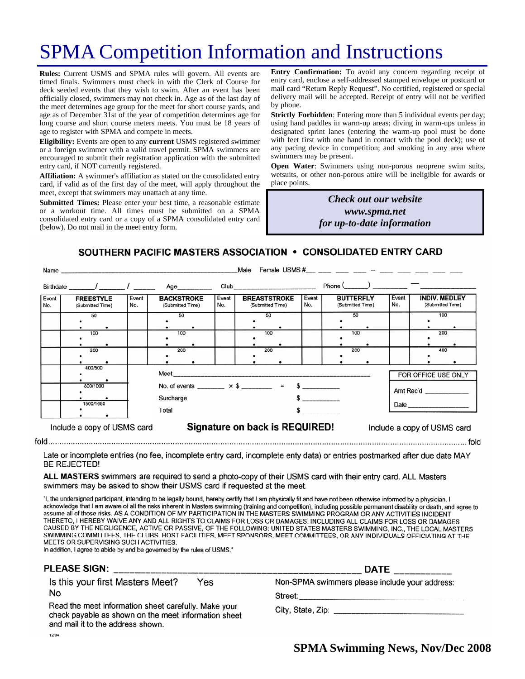# SPMA Competition Information and Instructions

**Rules:** Current USMS and SPMA rules will govern. All events are timed finals. Swimmers must check in with the Clerk of Course for deck seeded events that they wish to swim. After an event has been officially closed, swimmers may not check in. Age as of the last day of the meet determines age group for the meet for short course yards, and age as of December 31st of the year of competition determines age for long course and short course meters meets. You must be 18 years of age to register with SPMA and compete in meets.

**Eligibility:** Events are open to any **current** USMS registered swimmer or a foreign swimmer with a valid travel permit. SPMA swimmers are encouraged to submit their registration application with the submitted entry card, if NOT currently registered.

**Affiliation:** A swimmer's affiliation as stated on the consolidated entry card, if valid as of the first day of the meet, will apply throughout the meet, except that swimmers may unattach at any time.

**Submitted Times:** Please enter your best time, a reasonable estimate or a workout time. All times must be submitted on a SPMA consolidated entry card or a copy of a SPMA consolidated entry card (below). Do not mail in the meet entry form.

**Entry Confirmation:** To avoid any concern regarding receipt of entry card, enclose a self-addressed stamped envelope or postcard or mail card "Return Reply Request". No certified, registered or special delivery mail will be accepted. Receipt of entry will not be verified by phone.

**Strictly Forbidden**: Entering more than 5 individual events per day; using hand paddles in warm-up areas; diving in warm-ups unless in designated sprint lanes (entering the warm-up pool must be done with feet first with one hand in contact with the pool deck); use of any pacing device in competition; and smoking in any area where swimmers may be present.

**Open Water**: Swimmers using non-porous neoprene swim suits, wetsuits, or other non-porous attire will be ineligible for awards or place points.

> *Check out our website www.spma.net for up-to-date information*

SOUTHERN PACIFIC MASTERS ASSOCIATION • CONSOLIDATED ENTRY CARD

|              | Name                                                 | Female USMS $\#$ $-$<br>Male   |                                       |                                                                                                               |              |                                         |                                                                                                                                                                                                                                |              |                                      |                             |              |                                          |            |
|--------------|------------------------------------------------------|--------------------------------|---------------------------------------|---------------------------------------------------------------------------------------------------------------|--------------|-----------------------------------------|--------------------------------------------------------------------------------------------------------------------------------------------------------------------------------------------------------------------------------|--------------|--------------------------------------|-----------------------------|--------------|------------------------------------------|------------|
|              |                                                      |                                |                                       | Age__________                                                                                                 |              |                                         | Club and the contract of the contract of the contract of the contract of the contract of the contract of the contract of the contract of the contract of the contract of the contract of the contract of the contract of the c |              | $Phone ($ $)$                        |                             |              |                                          |            |
| Event<br>No. | <b>FREESTYLE</b><br>Event<br>No.<br>(Submitted Time) |                                | <b>BACKSTROKE</b><br>(Submitted Time) |                                                                                                               | Event<br>No. | <b>BREASTSTROKE</b><br>(Submitted Time) |                                                                                                                                                                                                                                | Event<br>No. | <b>BUTTERFLY</b><br>(Submitted Time) |                             | Event<br>No. | <b>INDIV. MEDLEY</b><br>(Submitted Time) |            |
|              | 50<br>100                                            |                                | 50<br>100                             |                                                                                                               |              |                                         | 50<br>100                                                                                                                                                                                                                      |              |                                      | 50<br>100                   |              |                                          | 100<br>200 |
|              | 200                                                  |                                | 200                                   |                                                                                                               |              |                                         | 200                                                                                                                                                                                                                            |              |                                      | 200                         |              |                                          | 400        |
|              | 400/500<br>800/1000<br>1500/1650                     |                                |                                       | Meet ____________________<br>No. of events ________ $\times$ \$ ________ = \$ _________<br>Surcharge<br>Total |              |                                         |                                                                                                                                                                                                                                |              |                                      |                             |              | FOR OFFICE USE ONLY<br>Amt Rec'd         |            |
|              | Include a copy of USMS card                          | Signature on back is REQUIRED! |                                       |                                                                                                               |              |                                         |                                                                                                                                                                                                                                |              |                                      | Include a copy of USMS card |              |                                          |            |

Late or incomplete entries (no fee, incomplete entry card, incomplete enty data) or entries postmarked after due date MAY **BE REJECTED!** 

ALL MASTERS swimmers are required to send a photo-copy of their USMS card with their entry card. ALL Masters swimmers may be asked to show their USMS card if requested at the meet.

"I, the undersigned participant, intending to be legally bound, hereby certify that I am physically fit and have not been otherwise informed by a physician. I acknowledge that I am aware of all the risks inherent in Masters swimming (training and competition), including possible permanent disability or death, and agree to assume all of those risks. AS A CONDITION OF MY PARTICIPATION IN THE MASTERS SWIMMING PROGRAM OR ANY ACTIVITIES INCIDENT THERETO, I HEREBY WAIVE ANY AND ALL RIGHTS TO CLAIMS FOR LOSS OR DAMAGES, INCLUDING ALL CLAIMS FOR LOSS OR DAMAGES CAUSED BY THE NEGLIGENCE, ACTIVE OR PASSIVE, OF THE FOLLOWING: UNITED STATES MASTERS SWIMMING, INC., THE LOCAL MASTERS SWIMMING COMMITTEES, THE CLUBS, HOST FACILITIES, MEET SPONSORS, MEET COMMITTEES, OR ANY INDIVIDUALS OFFICIATING AT THE MEETS OR SUPERVISING SUCH ACTIVITIES.

In addition, I agree to abide by and be governed by the rules of USMS."

### PLEASE SIGN:

Is this your first Masters Meet? Yes No

Read the meet information sheet carefully. Make your check payable as shown on the meet information sheet and mail it to the address shown. 12/94

| <b>DATE</b> |                                       |
|-------------|---------------------------------------|
|             | swimmers please include vour address: |

Street:

Non-SPMA

City, State, Zip:

**SPMA Swimming News, Nov/Dec 2008**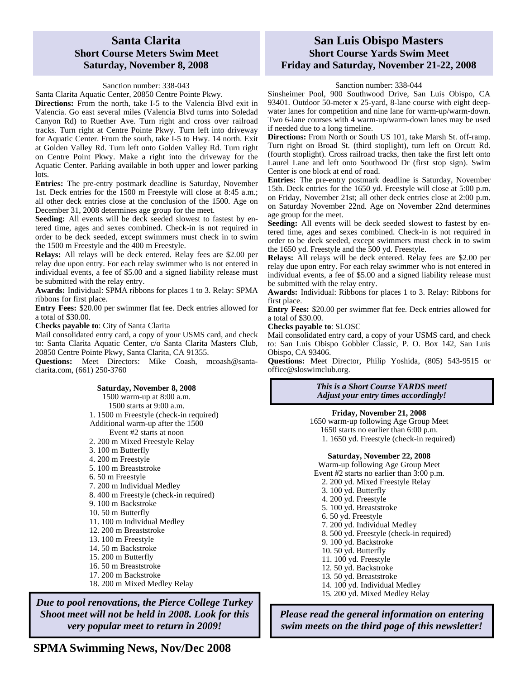### **Santa Clarita Short Course Meters Swim Meet Saturday, November 8, 2008**

### Sanction number: 338-043

Santa Clarita Aquatic Center, 20850 Centre Pointe Pkwy.

**Directions:** From the north, take I-5 to the Valencia Blvd exit in Valencia. Go east several miles (Valencia Blvd turns into Soledad Canyon Rd) to Ruether Ave. Turn right and cross over railroad tracks. Turn right at Centre Pointe Pkwy. Turn left into driveway for Aquatic Center. From the south, take I-5 to Hwy. 14 north. Exit at Golden Valley Rd. Turn left onto Golden Valley Rd. Turn right on Centre Point Pkwy. Make a right into the driveway for the Aquatic Center. Parking available in both upper and lower parking lots.

**Entries:** The pre-entry postmark deadline is Saturday, November 1st. Deck entries for the 1500 m Freestyle will close at 8:45 a.m.; all other deck entries close at the conclusion of the 1500. Age on December 31, 2008 determines age group for the meet.

**Seeding:** All events will be deck seeded slowest to fastest by entered time, ages and sexes combined. Check-in is not required in order to be deck seeded, except swimmers must check in to swim the 1500 m Freestyle and the 400 m Freestyle.

**Relays:** All relays will be deck entered. Relay fees are \$2.00 per relay due upon entry. For each relay swimmer who is not entered in individual events, a fee of \$5.00 and a signed liability release must be submitted with the relay entry.

**Awards:** Individual: SPMA ribbons for places 1 to 3. Relay: SPMA ribbons for first place.

**Entry Fees:** \$20.00 per swimmer flat fee. Deck entries allowed for a total of \$30.00.

**Checks payable to**: City of Santa Clarita

Mail consolidated entry card, a copy of your USMS card, and check to: Santa Clarita Aquatic Center, c/o Santa Clarita Masters Club, 20850 Centre Pointe Pkwy, Santa Clarita, CA 91355.

Questions: Meet Directors: Mike Coash, mcoash@santaclarita.com, (661) 250-3760

#### **Saturday, November 8, 2008**

1500 warm-up at 8:00 a.m. 1500 starts at 9:00 a.m. 1. 1500 m Freestyle (check-in required) Additional warm-up after the 1500 Event #2 starts at noon 2. 200 m Mixed Freestyle Relay 3. 100 m Butterfly 4. 200 m Freestyle 5. 100 m Breaststroke 6. 50 m Freestyle 7. 200 m Individual Medley 8. 400 m Freestyle (check-in required) 9. 100 m Backstroke 10. 50 m Butterfly 11. 100 m Individual Medley 12. 200 m Breaststroke 13. 100 m Freestyle 14. 50 m Backstroke 15. 200 m Butterfly 16. 50 m Breaststroke 17. 200 m Backstroke 18. 200 m Mixed Medley Relay

*Due to pool renovations, the Pierce College Turkey Shoot meet will not be held in 2008. Look for this very popular meet to return in 2009!* 

### **San Luis Obispo Masters Short Course Yards Swim Meet Friday and Saturday, November 21-22, 2008**

### Sanction number: 338-044

Sinsheimer Pool, 900 Southwood Drive, San Luis Obispo, CA 93401. Outdoor 50-meter x 25-yard, 8-lane course with eight deepwater lanes for competition and nine lane for warm-up/warm-down. Two 6-lane courses with 4 warm-up/warm-down lanes may be used if needed due to a long timeline.

**Directions:** From North or South US 101, take Marsh St. off-ramp. Turn right on Broad St. (third stoplight), turn left on Orcutt Rd. (fourth stoplight). Cross railroad tracks, then take the first left onto Laurel Lane and left onto Southwood Dr (first stop sign). Swim Center is one block at end of road.

**Entries:** The pre-entry postmark deadline is Saturday, November 15th. Deck entries for the 1650 yd. Freestyle will close at 5:00 p.m. on Friday, November 21st; all other deck entries close at 2:00 p.m. on Saturday November 22nd. Age on November 22nd determines age group for the meet.

Seeding: All events will be deck seeded slowest to fastest by entered time, ages and sexes combined. Check-in is not required in order to be deck seeded, except swimmers must check in to swim the 1650 yd. Freestyle and the 500 yd. Freestyle.

**Relays:** All relays will be deck entered. Relay fees are \$2.00 per relay due upon entry. For each relay swimmer who is not entered in individual events, a fee of \$5.00 and a signed liability release must be submitted with the relay entry.

**Awards:** Individual: Ribbons for places 1 to 3. Relay: Ribbons for first place.

**Entry Fees:** \$20.00 per swimmer flat fee. Deck entries allowed for a total of \$30.00.

**Checks payable to**: SLOSC

Mail consolidated entry card, a copy of your USMS card, and check to: San Luis Obispo Gobbler Classic, P. O. Box 142, San Luis Obispo, CA 93406.

**Questions:** Meet Director, Philip Yoshida, (805) 543-9515 or office@sloswimclub.org.

#### *This is a Short Course YARDS meet! Adjust your entry times accordingly!*

**Friday, November 21, 2008** 

1650 warm-up following Age Group Meet 1650 starts no earlier than 6:00 p.m. 1. 1650 yd. Freestyle (check-in required)

#### **Saturday, November 22, 2008**

Warm-up following Age Group Meet Event #2 starts no earlier than 3:00 p.m.

- 2. 200 yd. Mixed Freestyle Relay
- 3. 100 yd. Butterfly
- 4. 200 yd. Freestyle
- 5. 100 yd. Breaststroke
- 6. 50 yd. Freestyle
- 7. 200 yd. Individual Medley

8. 500 yd. Freestyle (check-in required)

- 9. 100 yd. Backstroke
- 10. 50 yd. Butterfly
- 11. 100 yd. Freestyle
- 12. 50 yd. Backstroke
- 13. 50 yd. Breaststroke
- 14. 100 yd. Individual Medley
- 15. 200 yd. Mixed Medley Relay

*Please read the general information on entering swim meets on the third page of this newsletter!*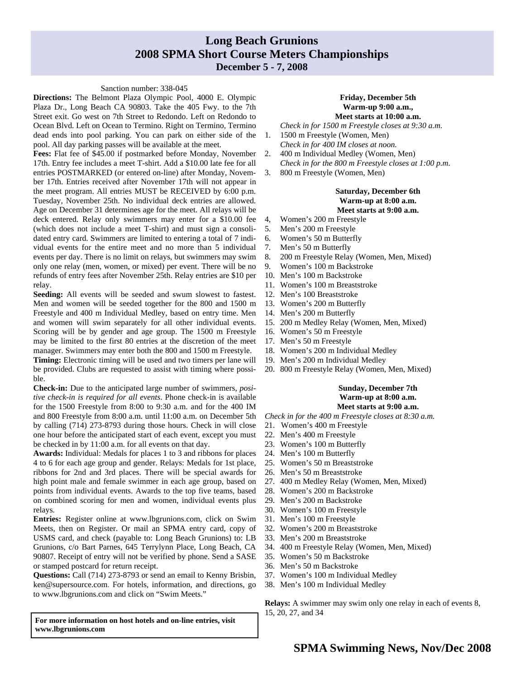# **Long Beach Grunions 2008 SPMA Short Course Meters Championships**

### **December 5 - 7, 2008**

#### Sanction number: 338-045

**Directions:** The Belmont Plaza Olympic Pool, 4000 E. Olympic Plaza Dr., Long Beach CA 90803. Take the 405 Fwy. to the 7th Street exit. Go west on 7th Street to Redondo. Left on Redondo to Ocean Blvd. Left on Ocean to Termino. Right on Termino, Termino dead ends into pool parking. You can park on either side of the pool. All day parking passes will be available at the meet.

**Fees:** Flat fee of \$45.00 if postmarked before Monday, November 17th. Entry fee includes a meet T-shirt. Add a \$10.00 late fee for all entries POSTMARKED (or entered on-line) after Monday, November 17th. Entries received after November 17th will not appear in the meet program. All entries MUST be RECEIVED by 6:00 p.m. Tuesday, November 25th. No individual deck entries are allowed. Age on December 31 determines age for the meet. All relays will be deck entered. Relay only swimmers may enter for a \$10.00 fee (which does not include a meet T-shirt) and must sign a consolidated entry card. Swimmers are limited to entering a total of 7 individual events for the entire meet and no more than 5 individual events per day. There is no limit on relays, but swimmers may swim only one relay (men, women, or mixed) per event. There will be no refunds of entry fees after November 25th. Relay entries are \$10 per relay.

**Seeding:** All events will be seeded and swum slowest to fastest. Men and women will be seeded together for the 800 and 1500 m Freestyle and 400 m Individual Medley, based on entry time. Men and women will swim separately for all other individual events. Scoring will be by gender and age group. The 1500 m Freestyle may be limited to the first 80 entries at the discretion of the meet manager. Swimmers may enter both the 800 and 1500 m Freestyle.

**Timing:** Electronic timing will be used and two timers per lane will be provided. Clubs are requested to assist with timing where possible.

**Check-in:** Due to the anticipated large number of swimmers, *positive check-in is required for all events*. Phone check-in is available for the 1500 Freestyle from 8:00 to 9:30 a.m. and for the 400 IM and 800 Freestyle from 8:00 a.m. until 11:00 a.m. on December 5th by calling (714) 273-8793 during those hours. Check in will close one hour before the anticipated start of each event, except you must be checked in by 11:00 a.m. for all events on that day.

**Awards:** Individual: Medals for places 1 to 3 and ribbons for places 4 to 6 for each age group and gender. Relays: Medals for 1st place, ribbons for 2nd and 3rd places. There will be special awards for high point male and female swimmer in each age group, based on points from individual events. Awards to the top five teams, based on combined scoring for men and women, individual events plus relays.

**Entries:** Register online at www.lbgrunions.com, click on Swim Meets, then on Register. Or mail an SPMA entry card, copy of USMS card, and check (payable to: Long Beach Grunions) to: LB Grunions, c/o Bart Parnes, 645 Terrylynn Place, Long Beach, CA 90807. Receipt of entry will not be verified by phone. Send a SASE or stamped postcard for return receipt.

**Questions:** Call (714) 273-8793 or send an email to Kenny Brisbin, ken@supersource.com. For hotels, information, and directions, go to www.lbgrunions.com and click on "Swim Meets."

**For more information on host hotels and on-line entries, visit www.lbgrunions.com** 

#### **Friday, December 5th Warm-up 9:00 a.m., Meet starts at 10:00 a.m.**

- *Check in for 1500 m Freestyle closes at 9:30 a.m*.
- 1. 1500 m Freestyle (Women, Men) *Check in for 400 IM closes at noon.*
- 2. 400 m Individual Medley (Women, Men)
- *Check in for the 800 m Freestyle closes at 1:00 p.m*.
- 3. 800 m Freestyle (Women, Men)

#### **Saturday, December 6th Warm-up at 8:00 a.m. Meet starts at 9:00 a.m.**

- 4, Women's 200 m Freestyle
- 5. Men's 200 m Freestyle
- 6. Women's 50 m Butterfly
- 7. Men's 50 m Butterfly
- 8. 200 m Freestyle Relay (Women, Men, Mixed)
- 9. Women's 100 m Backstroke
- 10. Men's 100 m Backstroke
- 11. Women's 100 m Breaststroke
- 12. Men's 100 Breaststroke
- 13. Women's 200 m Butterfly
- 14. Men's 200 m Butterfly
- 15. 200 m Medley Relay (Women, Men, Mixed)
- 16. Women's 50 m Freestyle
- 17. Men's 50 m Freestyle
- 18. Women's 200 m Individual Medley
- 19. Men's 200 m Individual Medley
- 20. 800 m Freestyle Relay (Women, Men, Mixed)

#### **Sunday, December 7th Warm-up at 8:00 a.m. Meet starts at 9:00 a.m.**

*Check in for the 400 m Freestyle closes at 8:30 a.m.* 

- 21. Women's 400 m Freestyle
- 22. Men's 400 m Freestyle
- 23. Women's 100 m Butterfly
- 24. Men's 100 m Butterfly
- 25. Women's 50 m Breaststroke
- 26. Men's 50 m Breaststroke
- 27. 400 m Medley Relay (Women, Men, Mixed)
- 28. Women's 200 m Backstroke
- 29. Men's 200 m Backstroke
- 30. Women's 100 m Freestyle
- 31. Men's 100 m Freestyle
- 32. Women's 200 m Breaststroke
- 33. Men's 200 m Breaststroke
- 34. 400 m Freestyle Relay (Women, Men, Mixed)
- 35. Women's 50 m Backstroke
- 36. Men's 50 m Backstroke
- 37. Women's 100 m Individual Medley
- 38. Men's 100 m Individual Medley

**Relays:** A swimmer may swim only one relay in each of events 8, 15, 20, 27, and 34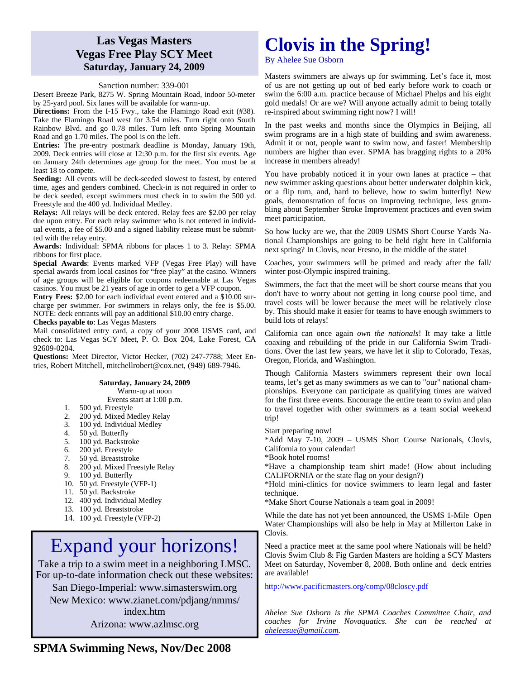### **Las Vegas Masters Vegas Free Play SCY Meet Saturday, January 24, 2009**

#### Sanction number: 339-001

Desert Breeze Park, 8275 W. Spring Mountain Road, indoor 50-meter by 25-yard pool. Six lanes will be available for warm-up.

**Directions:** From the I-15 Fwy., take the Flamingo Road exit (#38). Take the Flamingo Road west for 3.54 miles. Turn right onto South Rainbow Blvd. and go 0.78 miles. Turn left onto Spring Mountain Road and go 1.70 miles. The pool is on the left.

**Entries:** The pre-entry postmark deadline is Monday, January 19th, 2009. Deck entries will close at 12:30 p.m. for the first six events. Age on January 24th determines age group for the meet. You must be at least 18 to compete.

Seeding: All events will be deck-seeded slowest to fastest, by entered time, ages and genders combined. Check-in is not required in order to be deck seeded, except swimmers must check in to swim the 500 yd. Freestyle and the 400 yd. Individual Medley.

**Relays:** All relays will be deck entered. Relay fees are \$2.00 per relay due upon entry. For each relay swimmer who is not entered in individual events, a fee of \$5.00 and a signed liability release must be submitted with the relay entry.

**Awards:** Individual: SPMA ribbons for places 1 to 3. Relay: SPMA ribbons for first place.

**Special Awards**: Events marked VFP (Vegas Free Play) will have special awards from local casinos for "free play" at the casino. Winners of age groups will be eligible for coupons redeemable at Las Vegas casinos. You must be 21 years of age in order to get a VFP coupon.

**Entry Fees:** \$2.00 for each individual event entered and a \$10.00 surcharge per swimmer. For swimmers in relays only, the fee is \$5.00. NOTE: deck entrants will pay an additional \$10.00 entry charge. **Checks payable to**: Las Vegas Masters

Mail consolidated entry card, a copy of your 2008 USMS card, and check to: Las Vegas SCY Meet, P. O. Box 204, Lake Forest, CA 92609-0204.

**Questions:** Meet Director, Victor Hecker, (702) 247-7788; Meet Entries, Robert Mitchell, mitchellrobert@cox.net, (949) 689-7946.

#### **Saturday, January 24, 2009**

Warm-up at noon Events start at 1:00 p.m.

- 
- 1. 500 yd. Freestyle<br>2. 200 yd. Mixed Me 200 yd. Mixed Medley Relay
- 3. 100 yd. Individual Medley<br>4. 50 yd. Butterfly
- 50 yd. Butterfly
- 5. 100 yd. Backstroke
- 6. 200 yd. Freestyle
- 
- 7. 50 yd. Breaststroke<br>8. 200 yd. Mixed Free<br>9. 100 yd. Butterfly 200 yd. Mixed Freestyle Relay
- 100 yd. Butterfly
- 10. 50 yd. Freestyle (VFP-1)
- 11. 50 yd. Backstroke
- 12. 400 yd. Individual Medley
- 13. 100 yd. Breaststroke
- 14. 100 yd. Freestyle (VFP-2)

# Expand your horizons!

Take a trip to a swim meet in a neighboring LMSC. For up-to-date information check out these websites: San Diego-Imperial: www.simasterswim.org

New Mexico: www.zianet.com/pdjang/nmms/ index.htm

Arizona: www.azlmsc.org

# **Clovis in the Spring!**

By Ahelee Sue Osborn

Masters swimmers are always up for swimming. Let's face it, most of us are not getting up out of bed early before work to coach or swim the 6:00 a.m. practice because of Michael Phelps and his eight gold medals! Or are we? Will anyone actually admit to being totally re-inspired about swimming right now? I will!

In the past weeks and months since the Olympics in Beijing, all swim programs are in a high state of building and swim awareness. Admit it or not, people want to swim now, and faster! Membership numbers are higher than ever. SPMA has bragging rights to a 20% increase in members already!

You have probably noticed it in your own lanes at practice – that new swimmer asking questions about better underwater dolphin kick, or a flip turn, and, hard to believe, how to swim butterfly! New goals, demonstration of focus on improving technique, less grumbling about September Stroke Improvement practices and even swim meet participation.

So how lucky are we, that the 2009 USMS Short Course Yards National Championships are going to be held right here in California next spring? In Clovis, near Fresno, in the middle of the state!

Coaches, your swimmers will be primed and ready after the fall/ winter post-Olympic inspired training.

Swimmers, the fact that the meet will be short course means that you don't have to worry about not getting in long course pool time, and travel costs will be lower because the meet will be relatively close by. This should make it easier for teams to have enough swimmers to build lots of relays!

California can once again *own the nationals*! It may take a little coaxing and rebuilding of the pride in our California Swim Traditions. Over the last few years, we have let it slip to Colorado, Texas, Oregon, Florida, and Washington.

Though California Masters swimmers represent their own local teams, let's get as many swimmers as we can to "our" national championships. Everyone can participate as qualifying times are waived for the first three events. Encourage the entire team to swim and plan to travel together with other swimmers as a team social weekend trip!

Start preparing now!

\*Add May 7-10, 2009 – USMS Short Course Nationals, Clovis, California to your calendar!

\*Book hotel rooms!

\*Have a championship team shirt made! (How about including CALIFORNIA or the state flag on your design?)

\*Hold mini-clinics for novice swimmers to learn legal and faster technique.

\*Make Short Course Nationals a team goal in 2009!

While the date has not yet been announced, the USMS 1-Mile Open Water Championships will also be help in May at Millerton Lake in Clovis.

Need a practice meet at the same pool where Nationals will be held? Clovis Swim Club & Fig Garden Masters are holding a SCY Masters Meet on Saturday, November 8, 2008. Both online and deck entries are available!

http://www.pacificmasters.org/comp/08closcy.pdf

*Ahelee Sue Osborn is the SPMA Coaches Committee Chair, and coaches for Irvine Novaquatics. She can be reached at aheleesue@gmail.com.* 

## **SPMA Swimming News, Nov/Dec 2008**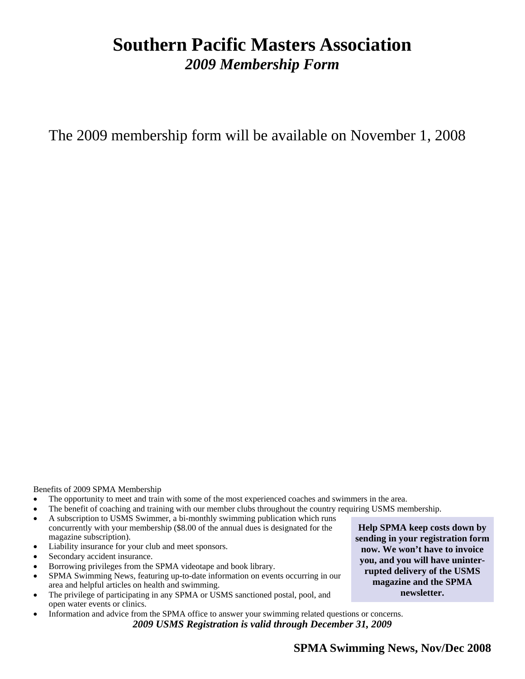# **Southern Pacific Masters Association**  *2009 Membership Form*

The 2009 membership form will be available on November 1, 2008

Benefits of 2009 SPMA Membership

- The opportunity to meet and train with some of the most experienced coaches and swimmers in the area.
- The benefit of coaching and training with our member clubs throughout the country requiring USMS membership.
- A subscription to USMS Swimmer, a bi-monthly swimming publication which runs concurrently with your membership (\$8.00 of the annual dues is designated for the magazine subscription).
- Liability insurance for your club and meet sponsors.
- Secondary accident insurance.
- Borrowing privileges from the SPMA videotape and book library.
- SPMA Swimming News, featuring up-to-date information on events occurring in our area and helpful articles on health and swimming.
- The privilege of participating in any SPMA or USMS sanctioned postal, pool, and open water events or clinics.
- Information and advice from the SPMA office to answer your swimming related questions or concerns. *2009 USMS Registration is valid through December 31, 2009*

**Help SPMA keep costs down by sending in your registration form now. We won't have to invoice you, and you will have uninterrupted delivery of the USMS magazine and the SPMA newsletter.**